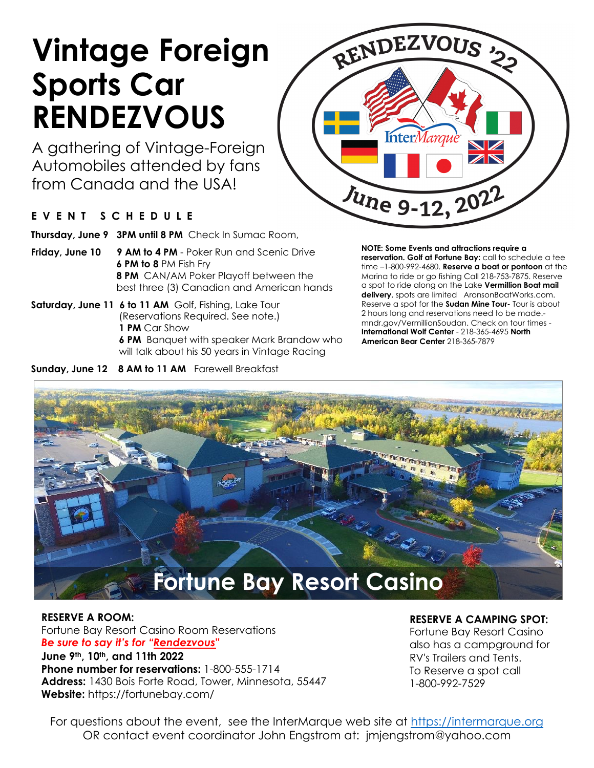# **Vintage Foreign Sports Car RENDEZVOUS**

A gathering of Vintage-Foreign Automobiles attended by fans from Canada and the USA!

#### **EVENT SCHEDULE**

**Thursday, June 9 3PM until 8 PM** Check In Sumac Room,

- **Friday, June 10 9 AM to 4 PM** Poker Run and Scenic Drive **6 PM to 8** PM Fish Fry **8 PM** CAN/AM Poker Playoff between the best three (3) Canadian and American hands
- **Saturday, June 11 6 to 11 AM** Golf, Fishing, Lake Tour (Reservations Required. See note.) **1 PM** Car Show **6 PM** Banquet with speaker Mark Brandow who will talk about his 50 years in Vintage Racing

Sunday, June 12 8 AM to 11 AM Farewell Breakfast

**NOTE: Some Events and attractions require a** 

June 9-12, 2022

RENDEZVOUS ??

**reservation. Golf at Fortune Bay:** call to schedule a tee time –1-800-992-4680. **Reserve a boat or pontoon** at the Marina to ride or go fishing Call 218-753-7875. Reserve a spot to ride along on the Lake **Vermillion Boat mail delivery**, spots are limited AronsonBoatWorks.com. Reserve a spot for the **Sudan Mine Tour-** Tour is about 2 hours long and reservations need to be made. mndr.gov/VermillionSoudan. Check on tour times - **International Wolf Center** - 218-365-4695 **North American Bear Center** 218-365-7879



#### **RESERVE A ROOM:**

Fortune Bay Resort Casino Room Reservations *Be sure to say it's for "Rendezvous"*

**June 9th, 10th, and 11th 2022 Phone number for reservations:** 1-800-555-1714 **Address:** 1430 Bois Forte Road, Tower, Minnesota, 55447 **Website:** https://fortunebay.com/

#### **RESERVE A CAMPING SPOT:**

Fortune Bay Resort Casino also has a campground for RV's Trailers and Tents. To Reserve a spot call 1-800-992-7529

For questions about the event, see the InterMarque web site at [https://intermarque.org](https://intermarque.org/) OR contact event coordinator John Engstrom at: jmjengstrom@yahoo.com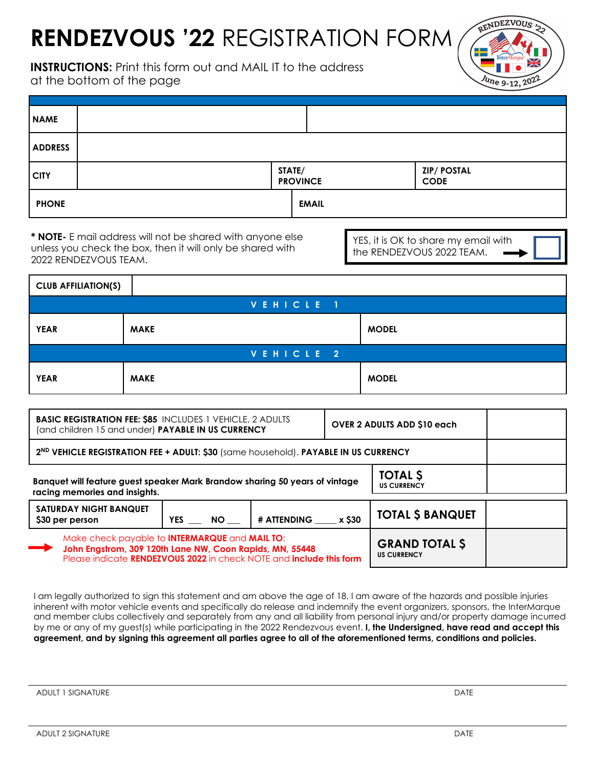## **RENDEZVOUS '22** REGISTRATION FORM

**INSTRUCTIONS:** Print this form out and MAIL IT to the address at the bottom of the page



| <b>NAME</b>    |        |                 |                                   |
|----------------|--------|-----------------|-----------------------------------|
| <b>ADDRESS</b> |        |                 |                                   |
| <b>CITY</b>    | STATE/ | <b>PROVINCE</b> | <b>ZIP/ POSTAL</b><br><b>CODE</b> |
| <b>PHONE</b>   |        | <b>EMAIL</b>    |                                   |

**\* NOTE-** E mail address will not be shared with anyone else unless you check the box, then it will only be shared with 2022 RENDEZVOUS TEAM.

YES, it is OK to share my email with the RENDEZVOUS 2022 TEAM.

| <b>CLUB AFFILIATION(S)</b> |             |              |  |  |
|----------------------------|-------------|--------------|--|--|
| VEHICLE 1                  |             |              |  |  |
| <b>YEAR</b>                | <b>MAKE</b> | <b>MODEL</b> |  |  |
| VEHICLE 2                  |             |              |  |  |
| <b>YEAR</b>                | <b>MAKE</b> | <b>MODEL</b> |  |  |

| <b>BASIC REGISTRATION FEE: \$85 INCLUDES 1 VEHICLE, 2 ADULTS</b><br>(and children 15 and under) PAYABLE IN US CURRENCY                                                                                        |                         |                    | <b>OVER 2 ADULTS ADD \$10 each</b>          |                         |  |
|---------------------------------------------------------------------------------------------------------------------------------------------------------------------------------------------------------------|-------------------------|--------------------|---------------------------------------------|-------------------------|--|
| 2ND VEHICLE REGISTRATION FEE + ADULT: \$30 (same household). PAYABLE IN US CURRENCY                                                                                                                           |                         |                    |                                             |                         |  |
| <b>TOTAL \$</b><br>Banquet will feature guest speaker Mark Brandow sharing 50 years of vintage<br><b>US CURRENCY</b><br>racing memories and insights.                                                         |                         |                    |                                             |                         |  |
| <b>SATURDAY NIGHT BANQUET</b><br>\$30 per person                                                                                                                                                              | <b>YES</b><br><b>NO</b> | # ATTENDING x \$30 |                                             | <b>TOTAL \$ BANQUET</b> |  |
| Make check payable to <b>INTERMARQUE</b> and <b>MAIL TO:</b><br>John Engstrom, 309 120th Lane NW, Coon Rapids, MN, 55448<br>Please indicate <b>RENDEZVOUS 2022</b> in check NOTE and <b>include this form</b> |                         |                    | <b>GRAND TOTAL \$</b><br><b>US CURRENCY</b> |                         |  |

I am legally authorized to sign this statement and am above the age of 18. I am aware of the hazards and possible injuries inherent with motor vehicle events and specifically do release and indemnify the event organizers, sponsors, the InterMarque and member clubs collectively and separately from any and all liability from personal injury and/or property damage incurred by me or any of my guest(s) while participating in the 2022 Rendezvous event. **I, the Undersigned, have read and accept this agreement, and by signing this agreement all parties agree to all of the aforementioned terms, conditions and policies.**

ADULT 1 SIGNATURE **DATE**